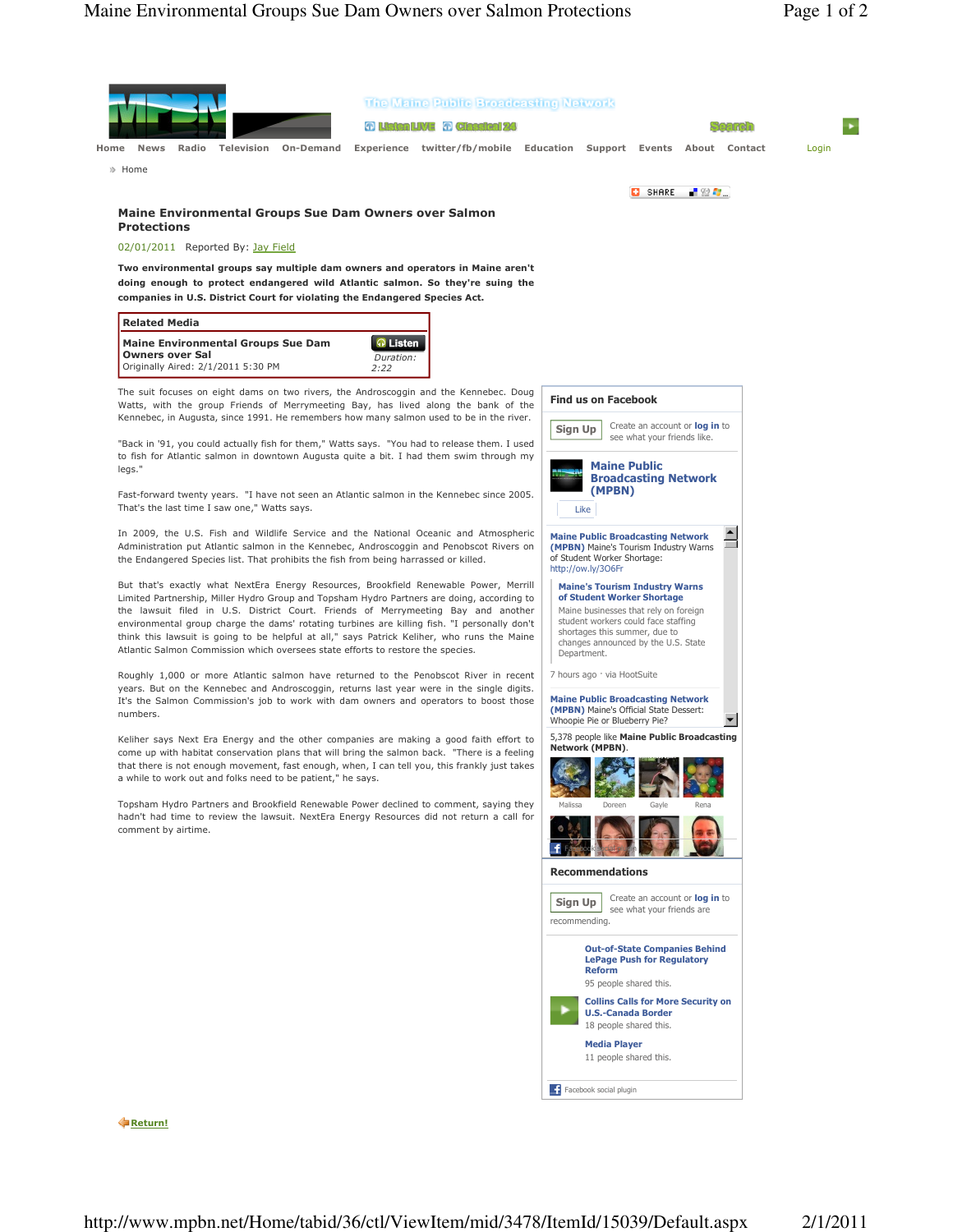

**C**Return!